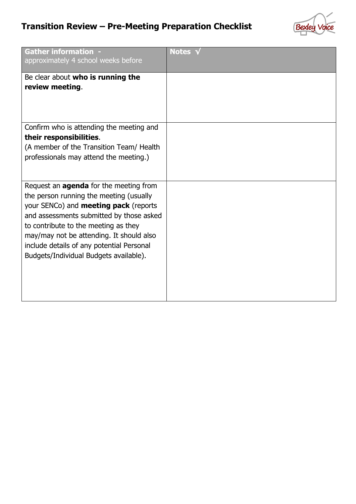## **Transition Review – Pre-Meeting Preparation Checklist**



| <b>Gather information -</b><br>approximately 4 school weeks before                                                                       | Notes <sub>1</sub> |
|------------------------------------------------------------------------------------------------------------------------------------------|--------------------|
| Be clear about who is running the                                                                                                        |                    |
| review meeting.                                                                                                                          |                    |
|                                                                                                                                          |                    |
| Confirm who is attending the meeting and                                                                                                 |                    |
| their responsibilities.                                                                                                                  |                    |
| (A member of the Transition Team/ Health                                                                                                 |                    |
| professionals may attend the meeting.)                                                                                                   |                    |
| Request an <b>agenda</b> for the meeting from<br>the person running the meeting (usually<br>your SENCo) and <b>meeting pack</b> (reports |                    |
| and assessments submitted by those asked                                                                                                 |                    |
| to contribute to the meeting as they                                                                                                     |                    |
| may/may not be attending. It should also                                                                                                 |                    |
| include details of any potential Personal                                                                                                |                    |
| Budgets/Individual Budgets available).                                                                                                   |                    |
|                                                                                                                                          |                    |
|                                                                                                                                          |                    |
|                                                                                                                                          |                    |
|                                                                                                                                          |                    |